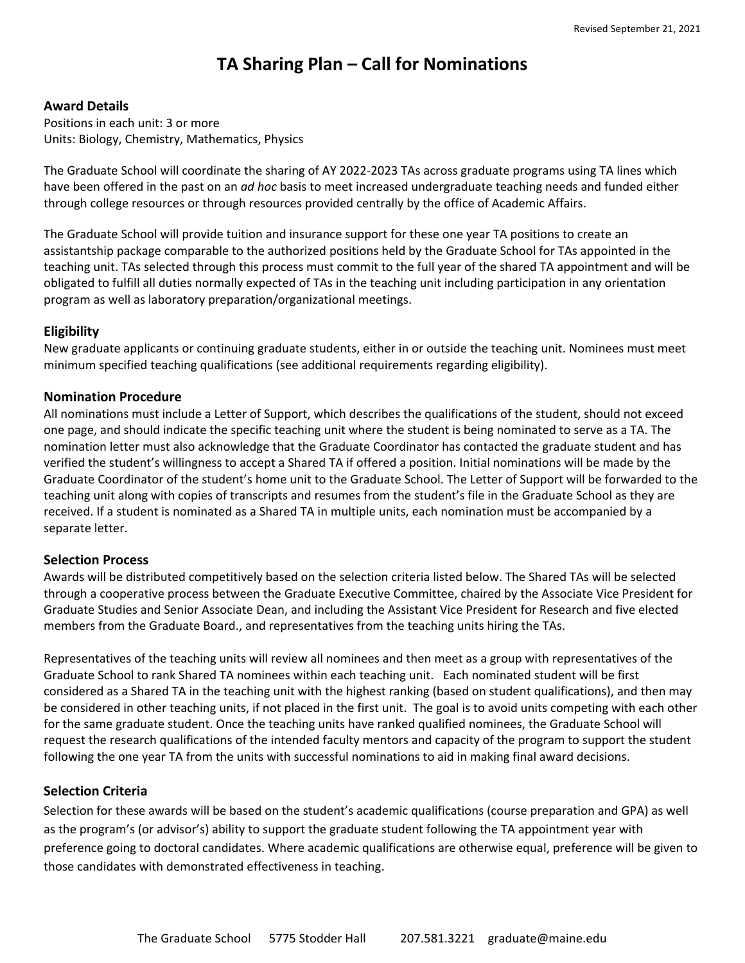# **TA Sharing Plan – Call for Nominations**

#### **Award Details**

Positions in each unit: 3 or more Units: Biology, Chemistry, Mathematics, Physics

The Graduate School will coordinate the sharing of AY 2022‐2023 TAs across graduate programs using TA lines which have been offered in the past on an *ad hoc* basis to meet increased undergraduate teaching needs and funded either through college resources or through resources provided centrally by the office of Academic Affairs.

The Graduate School will provide tuition and insurance support for these one year TA positions to create an assistantship package comparable to the authorized positions held by the Graduate School for TAs appointed in the teaching unit. TAs selected through this process must commit to the full year of the shared TA appointment and will be obligated to fulfill all duties normally expected of TAs in the teaching unit including participation in any orientation program as well as laboratory preparation/organizational meetings.

#### **Eligibility**

New graduate applicants or continuing graduate students, either in or outside the teaching unit. Nominees must meet minimum specified teaching qualifications (see additional requirements regarding eligibility).

#### **Nomination Procedure**

All nominations must include a Letter of Support, which describes the qualifications of the student, should not exceed one page, and should indicate the specific teaching unit where the student is being nominated to serve as a TA. The nomination letter must also acknowledge that the Graduate Coordinator has contacted the graduate student and has verified the student's willingness to accept a Shared TA if offered a position. Initial nominations will be made by the Graduate Coordinator of the student's home unit to the Graduate School. The Letter of Support will be forwarded to the teaching unit along with copies of transcripts and resumes from the student's file in the Graduate School as they are received. If a student is nominated as a Shared TA in multiple units, each nomination must be accompanied by a separate letter.

#### **Selection Process**

Awards will be distributed competitively based on the selection criteria listed below. The Shared TAs will be selected through a cooperative process between the Graduate Executive Committee, chaired by the Associate Vice President for Graduate Studies and Senior Associate Dean, and including the Assistant Vice President for Research and five elected members from the Graduate Board., and representatives from the teaching units hiring the TAs.

Representatives of the teaching units will review all nominees and then meet as a group with representatives of the Graduate School to rank Shared TA nominees within each teaching unit. Each nominated student will be first considered as a Shared TA in the teaching unit with the highest ranking (based on student qualifications), and then may be considered in other teaching units, if not placed in the first unit. The goal is to avoid units competing with each other for the same graduate student. Once the teaching units have ranked qualified nominees, the Graduate School will request the research qualifications of the intended faculty mentors and capacity of the program to support the student following the one year TA from the units with successful nominations to aid in making final award decisions.

#### **Selection Criteria**

Selection for these awards will be based on the student's academic qualifications (course preparation and GPA) as well as the program's (or advisor's) ability to support the graduate student following the TA appointment year with preference going to doctoral candidates. Where academic qualifications are otherwise equal, preference will be given to those candidates with demonstrated effectiveness in teaching.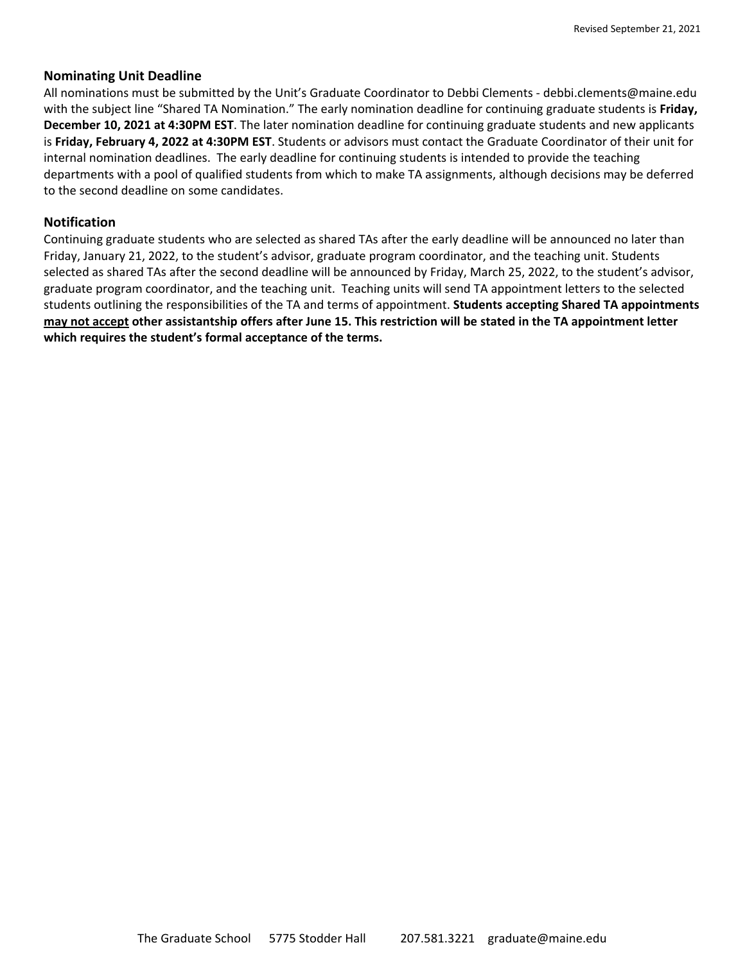#### **Nominating Unit Deadline**

All nominations must be submitted by the Unit's Graduate Coordinator to Debbi Clements ‐ debbi.clements@maine.edu with the subject line "Shared TA Nomination." The early nomination deadline for continuing graduate students is **Friday, December 10, 2021 at 4:30PM EST**. The later nomination deadline for continuing graduate students and new applicants is **Friday, February 4, 2022 at 4:30PM EST**. Students or advisors must contact the Graduate Coordinator of their unit for internal nomination deadlines. The early deadline for continuing students is intended to provide the teaching departments with a pool of qualified students from which to make TA assignments, although decisions may be deferred to the second deadline on some candidates.

#### **Notification**

Continuing graduate students who are selected as shared TAs after the early deadline will be announced no later than Friday, January 21, 2022, to the student's advisor, graduate program coordinator, and the teaching unit. Students selected as shared TAs after the second deadline will be announced by Friday, March 25, 2022, to the student's advisor, graduate program coordinator, and the teaching unit. Teaching units will send TA appointment letters to the selected students outlining the responsibilities of the TA and terms of appointment. **Students accepting Shared TA appointments** may not accept other assistantship offers after June 15. This restriction will be stated in the TA appointment letter **which requires the student's formal acceptance of the terms.**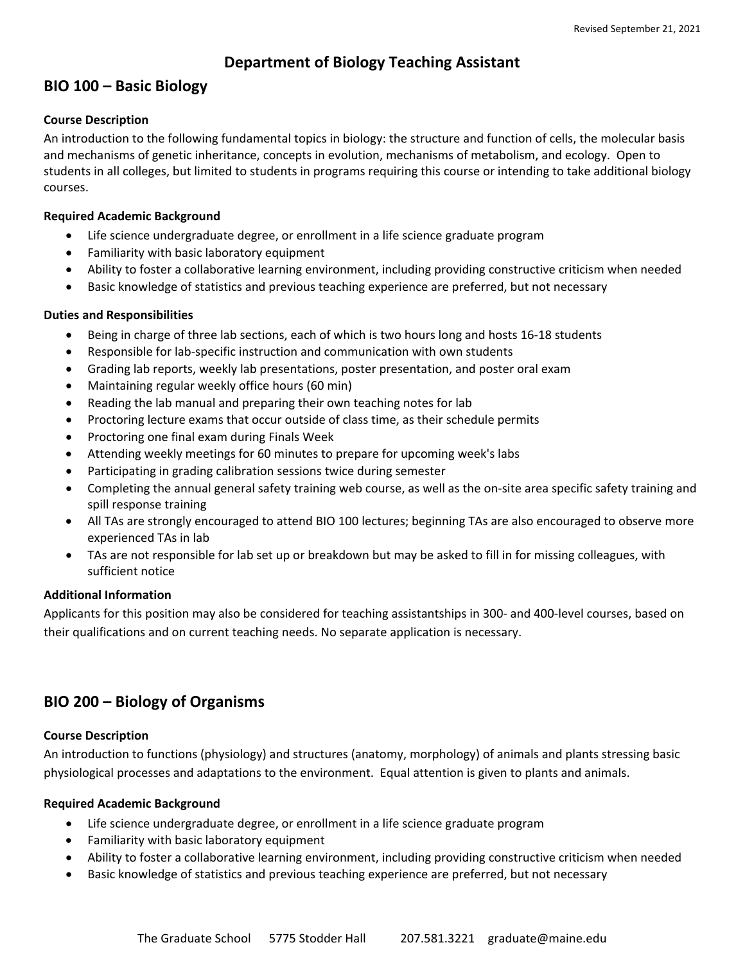### **Department of Biology Teaching Assistant**

### **BIO 100 – Basic Biology**

#### **Course Description**

An introduction to the following fundamental topics in biology: the structure and function of cells, the molecular basis and mechanisms of genetic inheritance, concepts in evolution, mechanisms of metabolism, and ecology. Open to students in all colleges, but limited to students in programs requiring this course or intending to take additional biology courses.

#### **Required Academic Background**

- Life science undergraduate degree, or enrollment in a life science graduate program
- Familiarity with basic laboratory equipment
- Ability to foster a collaborative learning environment, including providing constructive criticism when needed
- Basic knowledge of statistics and previous teaching experience are preferred, but not necessary

#### **Duties and Responsibilities**

- Being in charge of three lab sections, each of which is two hours long and hosts 16‐18 students
- Responsible for lab‐specific instruction and communication with own students
- Grading lab reports, weekly lab presentations, poster presentation, and poster oral exam
- Maintaining regular weekly office hours (60 min)
- Reading the lab manual and preparing their own teaching notes for lab
- Proctoring lecture exams that occur outside of class time, as their schedule permits
- Proctoring one final exam during Finals Week
- Attending weekly meetings for 60 minutes to prepare for upcoming week's labs
- Participating in grading calibration sessions twice during semester
- Completing the annual general safety training web course, as well as the on‐site area specific safety training and spill response training
- All TAs are strongly encouraged to attend BIO 100 lectures; beginning TAs are also encouraged to observe more experienced TAs in lab
- TAs are not responsible for lab set up or breakdown but may be asked to fill in for missing colleagues, with sufficient notice

#### **Additional Information**

Applicants for this position may also be considered for teaching assistantships in 300‐ and 400‐level courses, based on their qualifications and on current teaching needs. No separate application is necessary.

# **BIO 200 – Biology of Organisms**

#### **Course Description**

An introduction to functions (physiology) and structures (anatomy, morphology) of animals and plants stressing basic physiological processes and adaptations to the environment. Equal attention is given to plants and animals.

#### **Required Academic Background**

- Life science undergraduate degree, or enrollment in a life science graduate program
- Familiarity with basic laboratory equipment
- Ability to foster a collaborative learning environment, including providing constructive criticism when needed
- Basic knowledge of statistics and previous teaching experience are preferred, but not necessary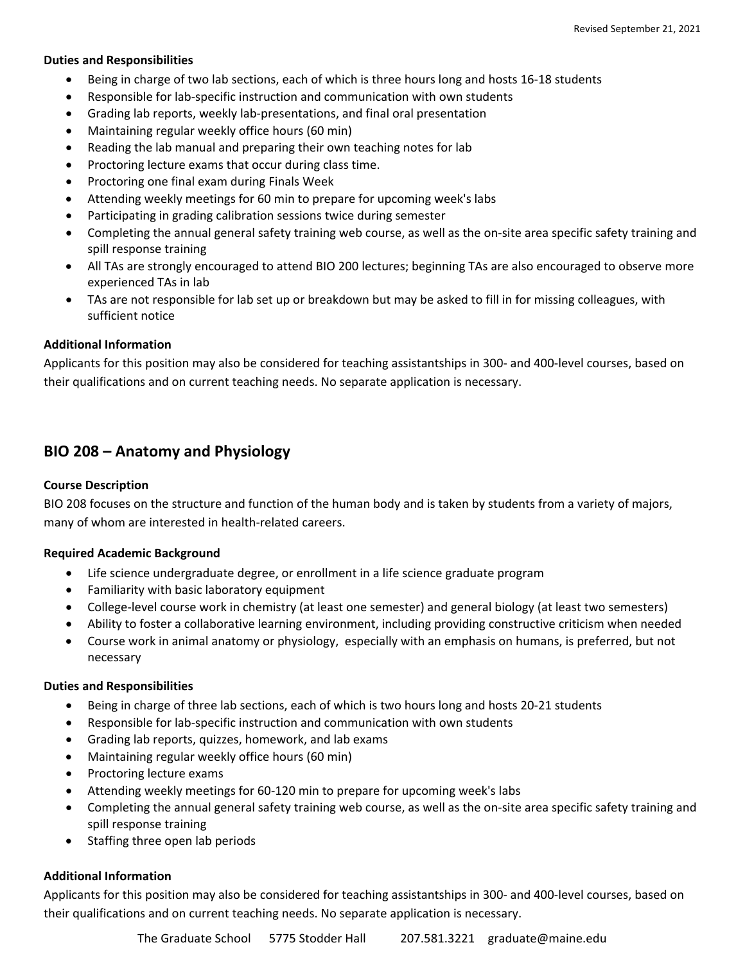#### **Duties and Responsibilities**

- Being in charge of two lab sections, each of which is three hours long and hosts 16‐18 students
- Responsible for lab‐specific instruction and communication with own students
- Grading lab reports, weekly lab‐presentations, and final oral presentation
- Maintaining regular weekly office hours (60 min)
- Reading the lab manual and preparing their own teaching notes for lab
- Proctoring lecture exams that occur during class time.
- Proctoring one final exam during Finals Week
- Attending weekly meetings for 60 min to prepare for upcoming week's labs
- Participating in grading calibration sessions twice during semester
- Completing the annual general safety training web course, as well as the on‐site area specific safety training and spill response training
- All TAs are strongly encouraged to attend BIO 200 lectures; beginning TAs are also encouraged to observe more experienced TAs in lab
- TAs are not responsible for lab set up or breakdown but may be asked to fill in for missing colleagues, with sufficient notice

#### **Additional Information**

Applicants for this position may also be considered for teaching assistantships in 300‐ and 400‐level courses, based on their qualifications and on current teaching needs. No separate application is necessary.

### **BIO 208 – Anatomy and Physiology**

#### **Course Description**

BIO 208 focuses on the structure and function of the human body and is taken by students from a variety of majors, many of whom are interested in health‐related careers.

#### **Required Academic Background**

- Life science undergraduate degree, or enrollment in a life science graduate program
- Familiarity with basic laboratory equipment
- College-level course work in chemistry (at least one semester) and general biology (at least two semesters)
- Ability to foster a collaborative learning environment, including providing constructive criticism when needed
- Course work in animal anatomy or physiology, especially with an emphasis on humans, is preferred, but not necessary

#### **Duties and Responsibilities**

- Being in charge of three lab sections, each of which is two hours long and hosts 20‐21 students
- Responsible for lab‐specific instruction and communication with own students
- Grading lab reports, quizzes, homework, and lab exams
- Maintaining regular weekly office hours (60 min)
- Proctoring lecture exams
- Attending weekly meetings for 60‐120 min to prepare for upcoming week's labs
- Completing the annual general safety training web course, as well as the on‐site area specific safety training and spill response training
- Staffing three open lab periods

#### **Additional Information**

Applicants for this position may also be considered for teaching assistantships in 300‐ and 400‐level courses, based on their qualifications and on current teaching needs. No separate application is necessary.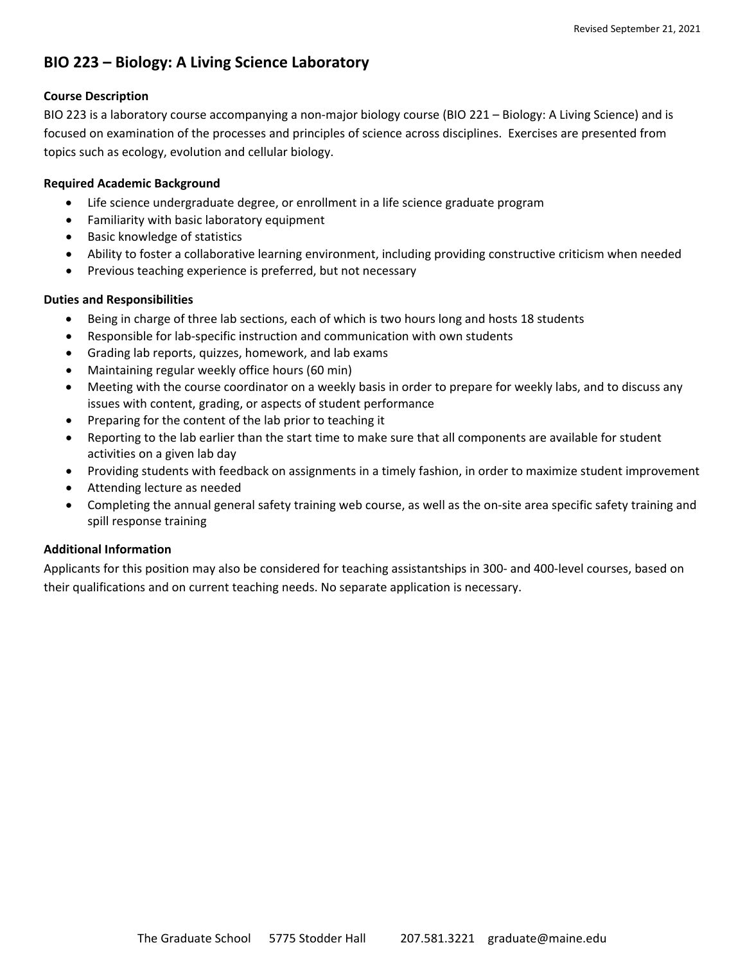# **BIO 223 – Biology: A Living Science Laboratory**

#### **Course Description**

BIO 223 is a laboratory course accompanying a non-major biology course (BIO 221 – Biology: A Living Science) and is focused on examination of the processes and principles of science across disciplines. Exercises are presented from topics such as ecology, evolution and cellular biology.

#### **Required Academic Background**

- Life science undergraduate degree, or enrollment in a life science graduate program
- Familiarity with basic laboratory equipment
- Basic knowledge of statistics
- Ability to foster a collaborative learning environment, including providing constructive criticism when needed
- Previous teaching experience is preferred, but not necessary

#### **Duties and Responsibilities**

- Being in charge of three lab sections, each of which is two hours long and hosts 18 students
- Responsible for lab‐specific instruction and communication with own students
- Grading lab reports, quizzes, homework, and lab exams
- Maintaining regular weekly office hours (60 min)
- Meeting with the course coordinator on a weekly basis in order to prepare for weekly labs, and to discuss any issues with content, grading, or aspects of student performance
- Preparing for the content of the lab prior to teaching it
- Reporting to the lab earlier than the start time to make sure that all components are available for student activities on a given lab day
- Providing students with feedback on assignments in a timely fashion, in order to maximize student improvement
- Attending lecture as needed
- Completing the annual general safety training web course, as well as the on‐site area specific safety training and spill response training

#### **Additional Information**

Applicants for this position may also be considered for teaching assistantships in 300‐ and 400‐level courses, based on their qualifications and on current teaching needs. No separate application is necessary.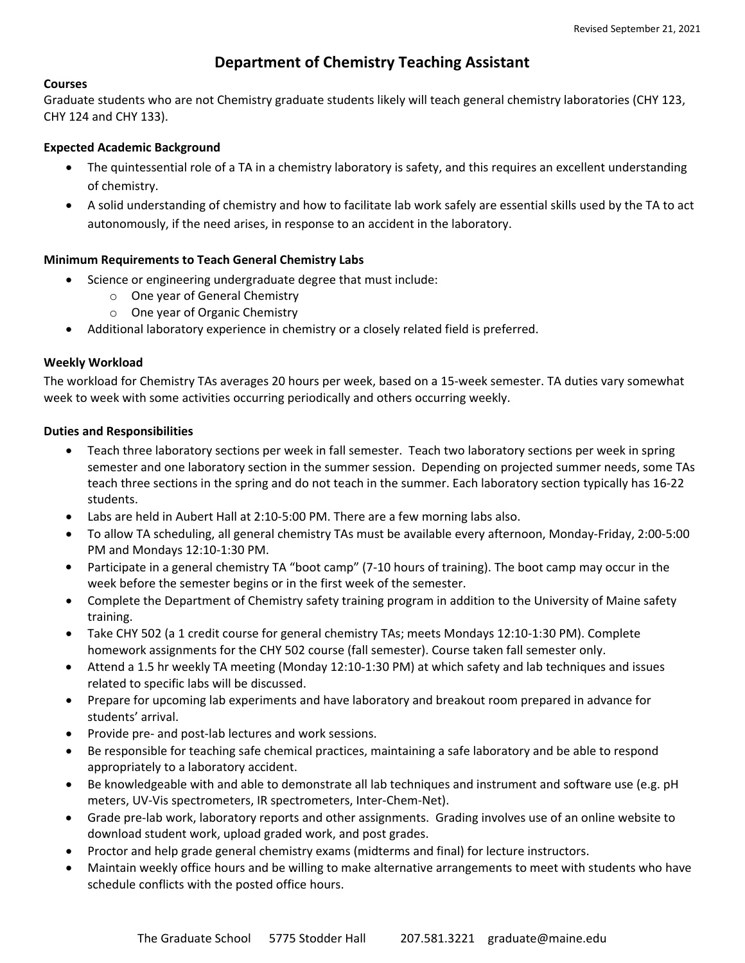## **Department of Chemistry Teaching Assistant**

#### **Courses**

Graduate students who are not Chemistry graduate students likely will teach general chemistry laboratories (CHY 123, CHY 124 and CHY 133).

#### **Expected Academic Background**

- The quintessential role of a TA in a chemistry laboratory is safety, and this requires an excellent understanding of chemistry.
- A solid understanding of chemistry and how to facilitate lab work safely are essential skills used by the TA to act autonomously, if the need arises, in response to an accident in the laboratory.

#### **Minimum Requirements to Teach General Chemistry Labs**

- Science or engineering undergraduate degree that must include:
	- o One year of General Chemistry
	- o One year of Organic Chemistry
- Additional laboratory experience in chemistry or a closely related field is preferred.

#### **Weekly Workload**

The workload for Chemistry TAs averages 20 hours per week, based on a 15‐week semester. TA duties vary somewhat week to week with some activities occurring periodically and others occurring weekly.

#### **Duties and Responsibilities**

- Teach three laboratory sections per week in fall semester. Teach two laboratory sections per week in spring semester and one laboratory section in the summer session. Depending on projected summer needs, some TAs teach three sections in the spring and do not teach in the summer. Each laboratory section typically has 16‐22 students.
- Labs are held in Aubert Hall at 2:10‐5:00 PM. There are a few morning labs also.
- To allow TA scheduling, all general chemistry TAs must be available every afternoon, Monday‐Friday, 2:00‐5:00 PM and Mondays 12:10‐1:30 PM.
- Participate in a general chemistry TA "boot camp" (7‐10 hours of training). The boot camp may occur in the week before the semester begins or in the first week of the semester.
- Complete the Department of Chemistry safety training program in addition to the University of Maine safety training.
- Take CHY 502 (a 1 credit course for general chemistry TAs; meets Mondays 12:10‐1:30 PM). Complete homework assignments for the CHY 502 course (fall semester). Course taken fall semester only.
- Attend a 1.5 hr weekly TA meeting (Monday 12:10‐1:30 PM) at which safety and lab techniques and issues related to specific labs will be discussed.
- Prepare for upcoming lab experiments and have laboratory and breakout room prepared in advance for students' arrival.
- Provide pre‐ and post‐lab lectures and work sessions.
- Be responsible for teaching safe chemical practices, maintaining a safe laboratory and be able to respond appropriately to a laboratory accident.
- Be knowledgeable with and able to demonstrate all lab techniques and instrument and software use (e.g. pH meters, UV‐Vis spectrometers, IR spectrometers, Inter‐Chem‐Net).
- Grade pre‐lab work, laboratory reports and other assignments. Grading involves use of an online website to download student work, upload graded work, and post grades.
- Proctor and help grade general chemistry exams (midterms and final) for lecture instructors.
- Maintain weekly office hours and be willing to make alternative arrangements to meet with students who have schedule conflicts with the posted office hours.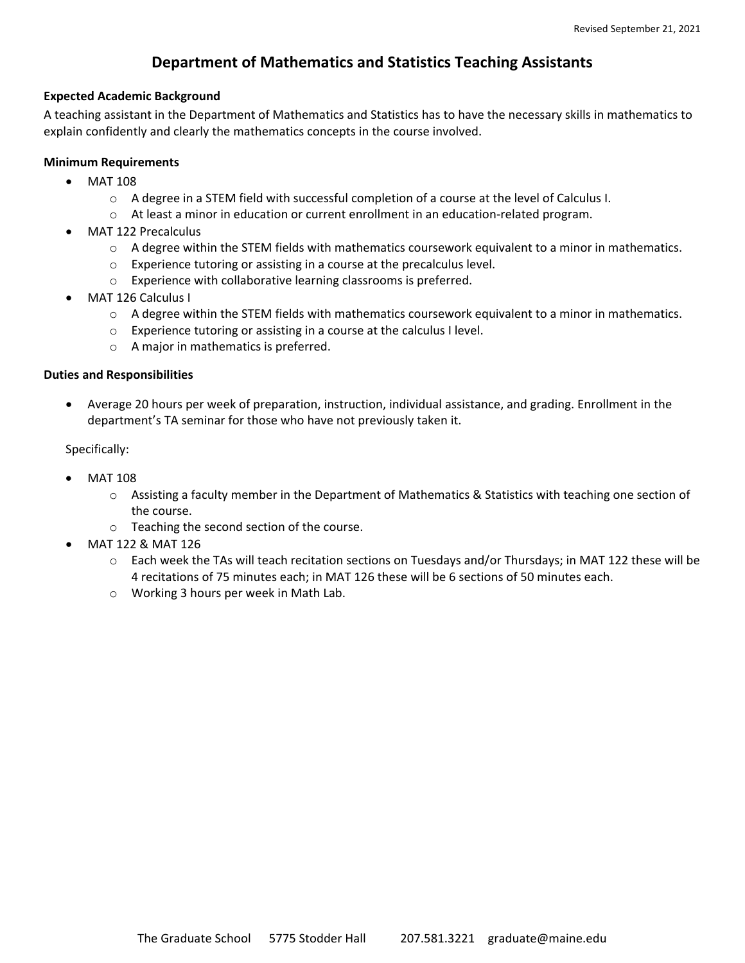## **Department of Mathematics and Statistics Teaching Assistants**

#### **Expected Academic Background**

A teaching assistant in the Department of Mathematics and Statistics has to have the necessary skills in mathematics to explain confidently and clearly the mathematics concepts in the course involved.

#### **Minimum Requirements**

- MAT 108
	- o A degree in a STEM field with successful completion of a course at the level of Calculus I.
	- o At least a minor in education or current enrollment in an education‐related program.
- MAT 122 Precalculus
	- $\circ$  A degree within the STEM fields with mathematics coursework equivalent to a minor in mathematics.
	- o Experience tutoring or assisting in a course at the precalculus level.
	- o Experience with collaborative learning classrooms is preferred.
- MAT 126 Calculus I
	- $\circ$  A degree within the STEM fields with mathematics coursework equivalent to a minor in mathematics.
	- o Experience tutoring or assisting in a course at the calculus I level.
	- o A major in mathematics is preferred.

#### **Duties and Responsibilities**

 Average 20 hours per week of preparation, instruction, individual assistance, and grading. Enrollment in the department's TA seminar for those who have not previously taken it.

Specifically:

- MAT 108
	- o Assisting a faculty member in the Department of Mathematics & Statistics with teaching one section of the course.
	- o Teaching the second section of the course.
- MAT 122 & MAT 126
	- o Each week the TAs will teach recitation sections on Tuesdays and/or Thursdays; in MAT 122 these will be 4 recitations of 75 minutes each; in MAT 126 these will be 6 sections of 50 minutes each.
	- o Working 3 hours per week in Math Lab.